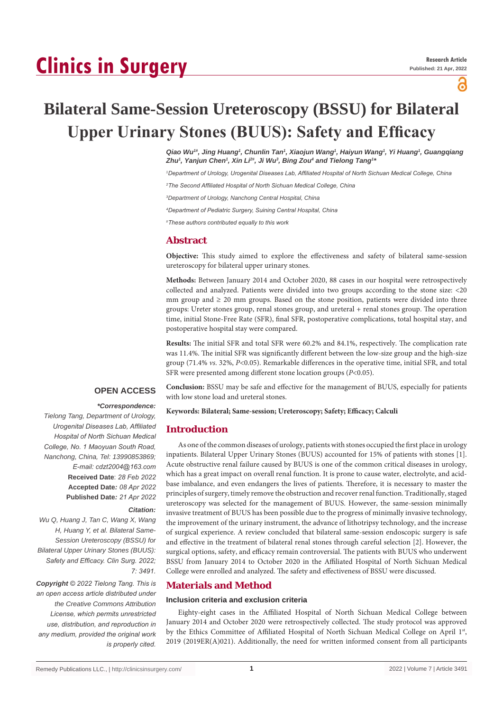# **Clinics in Surgery**

പ്പ

# **Bilateral Same-Session Ureteroscopy (BSSU) for Bilateral Upper Urinary Stones (BUUS): Safety and Efficacy**

Qiao Wu<sup>1#</sup>, Jing Huang<sup>1</sup>, Chunlin Tan<sup>1</sup>, Xiaojun Wang<sup>1</sup>, Haiyun Wang<sup>1</sup>, Yi Huang<sup>1</sup>, Guangqiang Zhu<sup>1</sup>, Yanjun Chen<sup>1</sup>, Xin Li<sup>2#</sup>, Ji Wu<sup>3</sup>, Bing Zou<sup>4</sup> and Tielong Tang<sup>1</sup>'

*1 Department of Urology, Urogenital Diseases Lab, Affiliated Hospital of North Sichuan Medical College, China*

*2 The Second Affiliated Hospital of North Sichuan Medical College, China*

*3 Department of Urology, Nanchong Central Hospital, China*

*4 Department of Pediatric Surgery, Suining Central Hospital, China*

*# These authors contributed equally to this work*

# **Abstract**

**Objective:** This study aimed to explore the effectiveness and safety of bilateral same-session ureteroscopy for bilateral upper urinary stones.

**Methods:** Between January 2014 and October 2020, 88 cases in our hospital were retrospectively collected and analyzed. Patients were divided into two groups according to the stone size: <20 mm group and ≥ 20 mm groups. Based on the stone position, patients were divided into three groups: Ureter stones group, renal stones group, and ureteral + renal stones group. The operation time, initial Stone-Free Rate (SFR), final SFR, postoperative complications, total hospital stay, and postoperative hospital stay were compared.

**Results:** The initial SFR and total SFR were 60.2% and 84.1%, respectively. The complication rate was 11.4%. The initial SFR was significantly different between the low-size group and the high-size group (71.4% *vs*. 32%, *P*<0.05). Remarkable differences in the operative time, initial SFR, and total SFR were presented among different stone location groups (*P*<0.05).

## **OPEN ACCESS**

# *\*Correspondence:*

*Tielong Tang, Department of Urology, Urogenital Diseases Lab, Affiliated Hospital of North Sichuan Medical College, No. 1 Maoyuan South Road, Nanchong, China, Tel: 13990853869; E-mail: cdzt2004@163.com* **Received Date**: *28 Feb 2022* **Accepted Date***: 08 Apr 2022* **Published Date***: 21 Apr 2022*

#### *Citation:*

*Wu Q, Huang J, Tan C, Wang X, Wang H, Huang Y, et al. Bilateral Same-Session Ureteroscopy (BSSU) for Bilateral Upper Urinary Stones (BUUS): Safety and Efficacy. Clin Surg. 2022; 7: 3491.*

*Copyright © 2022 Tielong Tang. This is an open access article distributed under the Creative Commons Attribution License, which permits unrestricted use, distribution, and reproduction in any medium, provided the original work is properly cited.*

**Conclusion:** BSSU may be safe and effective for the management of BUUS, especially for patients with low stone load and ureteral stones.

**Keywords: Bilateral; Same-session; Ureteroscopy; Safety; Efficacy; Calculi**

## **Introduction**

As one of the common diseases of urology, patients with stones occupied the first place in urology inpatients. Bilateral Upper Urinary Stones (BUUS) accounted for 15% of patients with stones [1]. Acute obstructive renal failure caused by BUUS is one of the common critical diseases in urology, which has a great impact on overall renal function. It is prone to cause water, electrolyte, and acidbase imbalance, and even endangers the lives of patients. Therefore, it is necessary to master the principles of surgery, timely remove the obstruction and recover renal function. Traditionally, staged ureteroscopy was selected for the management of BUUS. However, the same-session minimally invasive treatment of BUUS has been possible due to the progress of minimally invasive technology, the improvement of the urinary instrument, the advance of lithotripsy technology, and the increase of surgical experience. A review concluded that bilateral same-session endoscopic surgery is safe and effective in the treatment of bilateral renal stones through careful selection [2]. However, the surgical options, safety, and efficacy remain controversial. The patients with BUUS who underwent BSSU from January 2014 to October 2020 in the Affiliated Hospital of North Sichuan Medical College were enrolled and analyzed. The safety and effectiveness of BSSU were discussed.

# **Materials and Method**

#### **Inclusion criteria and exclusion criteria**

Eighty-eight cases in the Affiliated Hospital of North Sichuan Medical College between January 2014 and October 2020 were retrospectively collected. The study protocol was approved by the Ethics Committee of Affiliated Hospital of North Sichuan Medical College on April 1st, 2019 (2019ER(A)021). Additionally, the need for written informed consent from all participants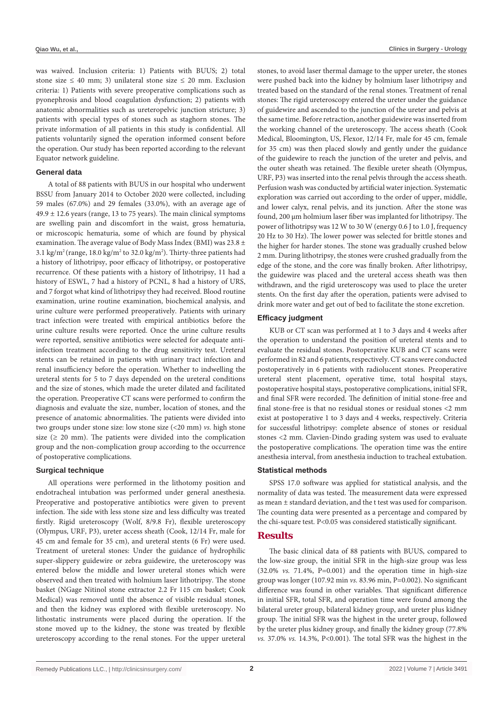was waived. Inclusion criteria: 1) Patients with BUUS; 2) total stone size  $\leq 40$  mm; 3) unilateral stone size  $\leq 20$  mm. Exclusion criteria: 1) Patients with severe preoperative complications such as pyonephrosis and blood coagulation dysfunction; 2) patients with anatomic abnormalities such as ureteropelvic junction stricture; 3) patients with special types of stones such as staghorn stones. The private information of all patients in this study is confidential. All patients voluntarily signed the operation informed consent before the operation. Our study has been reported according to the relevant Equator network guideline.

#### **General data**

A total of 88 patients with BUUS in our hospital who underwent BSSU from January 2014 to October 2020 were collected, including 59 males (67.0%) and 29 females (33.0%), with an average age of  $49.9 \pm 12.6$  years (range, 13 to 75 years). The main clinical symptoms are swelling pain and discomfort in the waist, gross hematuria, or microscopic hematuria, some of which are found by physical examination. The average value of Body Mass Index (BMI) was 23.8 ± 3.1 kg/m<sup>2</sup> (range, 18.0 kg/m<sup>2</sup> to 32.0 kg/m<sup>2</sup>). Thirty-three patients had a history of lithotripsy, poor efficacy of lithotripsy, or postoperative recurrence. Of these patients with a history of lithotripsy, 11 had a history of ESWL, 7 had a history of PCNL, 8 had a history of URS, and 7 forgot what kind of lithotripsy they had received. Blood routine examination, urine routine examination, biochemical analysis, and urine culture were performed preoperatively. Patients with urinary tract infection were treated with empirical antibiotics before the urine culture results were reported. Once the urine culture results were reported, sensitive antibiotics were selected for adequate antiinfection treatment according to the drug sensitivity test. Ureteral stents can be retained in patients with urinary tract infection and renal insufficiency before the operation. Whether to indwelling the ureteral stents for 5 to 7 days depended on the ureteral conditions and the size of stones, which made the ureter dilated and facilitated the operation. Preoperative CT scans were performed to confirm the diagnosis and evaluate the size, number, location of stones, and the presence of anatomic abnormalities. The patients were divided into two groups under stone size: low stone size (<20 mm) *vs.* high stone size ( $\geq$  20 mm). The patients were divided into the complication group and the non-complication group according to the occurrence of postoperative complications.

#### **Surgical technique**

All operations were performed in the lithotomy position and endotracheal intubation was performed under general anesthesia. Preoperative and postoperative antibiotics were given to prevent infection. The side with less stone size and less difficulty was treated firstly. Rigid ureteroscopy (Wolf, 8/9.8 Fr), flexible ureteroscopy (Olympus, URF, P3), ureter access sheath (Cook, 12/14 Fr, male for 45 cm and female for 35 cm), and ureteral stents (6 Fr) were used. Treatment of ureteral stones: Under the guidance of hydrophilic super-slippery guidewire or zebra guidewire, the ureteroscopy was entered below the middle and lower ureteral stones which were observed and then treated with holmium laser lithotripsy. The stone basket (NGage Nitinol stone extractor 2.2 Fr 115 cm basket; Cook Medical) was removed until the absence of visible residual stones, and then the kidney was explored with flexible ureteroscopy. No lithostatic instruments were placed during the operation. If the stone moved up to the kidney, the stone was treated by flexible ureteroscopy according to the renal stones. For the upper ureteral stones, to avoid laser thermal damage to the upper ureter, the stones were pushed back into the kidney by holmium laser lithotripsy and treated based on the standard of the renal stones. Treatment of renal stones: The rigid ureteroscopy entered the ureter under the guidance of guidewire and ascended to the junction of the ureter and pelvis at the same time. Before retraction, another guidewire was inserted from the working channel of the ureteroscopy. The access sheath (Cook Medical, Bloomington, US, Flexor, 12/14 Fr, male for 45 cm, female for 35 cm) was then placed slowly and gently under the guidance of the guidewire to reach the junction of the ureter and pelvis, and the outer sheath was retained. The flexible ureter sheath (Olympus, URF, P3) was inserted into the renal pelvis through the access sheath. Perfusion wash was conducted by artificial water injection. Systematic exploration was carried out according to the order of upper, middle, and lower calyx, renal pelvis, and its junction. After the stone was found, 200 μm holmium laser fiber was implanted for lithotripsy. The power of lithotripsy was 12 W to 30 W (energy 0.6 J to 1.0 J, frequency 20 Hz to 30 Hz). The lower power was selected for brittle stones and the higher for harder stones. The stone was gradually crushed below 2 mm. During lithotripsy, the stones were crushed gradually from the edge of the stone, and the core was finally broken. After lithotripsy, the guidewire was placed and the ureteral access sheath was then withdrawn, and the rigid ureteroscopy was used to place the ureter stents. On the first day after the operation, patients were advised to drink more water and get out of bed to facilitate the stone excretion.

#### **Efficacy judgment**

KUB or CT scan was performed at 1 to 3 days and 4 weeks after the operation to understand the position of ureteral stents and to evaluate the residual stones. Postoperative KUB and CT scans were performed in 82 and 6 patients, respectively. CT scans were conducted postoperatively in 6 patients with radiolucent stones. Preoperative ureteral stent placement, operative time, total hospital stays, postoperative hospital stays, postoperative complications, initial SFR, and final SFR were recorded. The definition of initial stone-free and final stone-free is that no residual stones or residual stones <2 mm exist at postoperative 1 to 3 days and 4 weeks, respectively. Criteria for successful lithotripsy: complete absence of stones or residual stones <2 mm. Clavien-Dindo grading system was used to evaluate the postoperative complications. The operation time was the entire anesthesia interval, from anesthesia induction to tracheal extubation.

#### **Statistical methods**

SPSS 17.0 software was applied for statistical analysis, and the normality of data was tested. The measurement data were expressed as mean ± standard deviation, and the t test was used for comparison. The counting data were presented as a percentage and compared by the chi-square test. P<0.05 was considered statistically significant.

# **Results**

The basic clinical data of 88 patients with BUUS, compared to the low-size group, the initial SFR in the high-size group was less (32.0% *vs.* 71.4%, P=0.001) and the operation time in high-size group was longer (107.92 min *vs.* 83.96 min, P=0.002). No significant difference was found in other variables. That significant difference in initial SFR, total SFR, and operation time were found among the bilateral ureter group, bilateral kidney group, and ureter plus kidney group. The initial SFR was the highest in the ureter group, followed by the ureter plus kidney group, and finally the kidney group (77.8% *vs.* 37.0% *vs.* 14.3%, P<0.001). The total SFR was the highest in the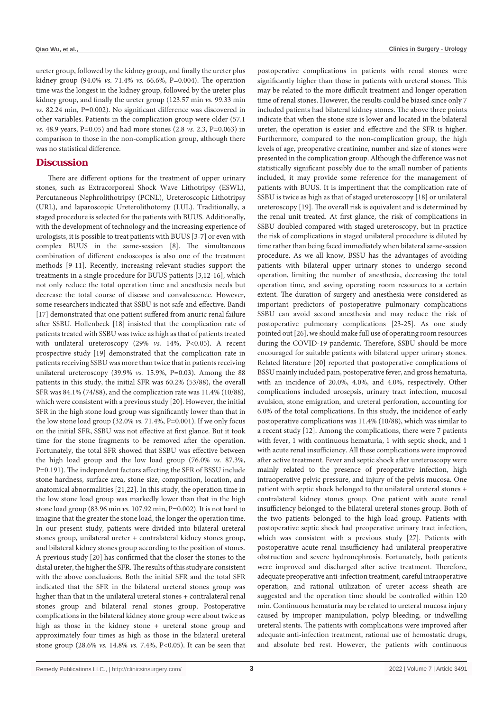ureter group, followed by the kidney group, and finally the ureter plus kidney group (94.0% *vs.* 71.4% *vs.* 66.6%, P=0.004). The operation time was the longest in the kidney group, followed by the ureter plus kidney group, and finally the ureter group (123.57 min *vs.* 99.33 min *vs.* 82.24 min, P=0.002). No significant difference was discovered in other variables. Patients in the complication group were older (57.1 *vs.* 48.9 years, P=0.05) and had more stones (2.8 *vs.* 2.3, P=0.063) in comparison to those in the non-complication group, although there was no statistical difference.

# **Discussion**

There are different options for the treatment of upper urinary stones, such as Extracorporeal Shock Wave Lithotripsy (ESWL), Percutaneous Nephrolithotripsy (PCNL), Ureteroscopic Lithotripsy (URL), and laparoscopic Ureterolithotomy (LUL). Traditionally, a staged procedure is selected for the patients with BUUS. Additionally, with the development of technology and the increasing experience of urologists, it is possible to treat patients with BUUS [3-7] or even with complex BUUS in the same-session [8]. The simultaneous combination of different endoscopes is also one of the treatment methods [9-11]. Recently, increasing relevant studies support the treatments in a single procedure for BUUS patients [3,12-16], which not only reduce the total operation time and anesthesia needs but decrease the total course of disease and convalescence. However, some researchers indicated that SSBU is not safe and effective. Bandi [17] demonstrated that one patient suffered from anuric renal failure after SSBU. Hollenbeck [18] insisted that the complication rate of patients treated with SSBU was twice as high as that of patients treated with unilateral ureteroscopy (29% *vs.* 14%, P<0.05). A recent prospective study [19] demonstrated that the complication rate in patients receiving SSBU was more than twice that in patients receiving unilateral ureteroscopy (39.9% *vs.* 15.9%, P=0.03). Among the 88 patients in this study, the initial SFR was 60.2% (53/88), the overall SFR was 84.1% (74/88), and the complication rate was 11.4% (10/88), which were consistent with a previous study [20]. However, the initial SFR in the high stone load group was significantly lower than that in the low stone load group (32.0% *vs.* 71.4%, P=0.001). If we only focus on the initial SFR, SSBU was not effective at first glance. But it took time for the stone fragments to be removed after the operation. Fortunately, the total SFR showed that SSBU was effective between the high load group and the low load group (76.0% *vs.* 87.3%, P=0.191). The independent factors affecting the SFR of BSSU include stone hardness, surface area, stone size, composition, location, and anatomical abnormalities [21,22]. In this study, the operation time in the low stone load group was markedly lower than that in the high stone load group (83.96 min *vs.* 107.92 min, P=0.002). It is not hard to imagine that the greater the stone load, the longer the operation time. In our present study, patients were divided into bilateral ureteral stones group, unilateral ureter + contralateral kidney stones group, and bilateral kidney stones group according to the position of stones. A previous study [20] has confirmed that the closer the stones to the distal ureter, the higher the SFR. The results of this study are consistent with the above conclusions. Both the initial SFR and the total SFR indicated that the SFR in the bilateral ureteral stones group was higher than that in the unilateral ureteral stones + contralateral renal stones group and bilateral renal stones group. Postoperative complications in the bilateral kidney stone group were about twice as high as those in the kidney stone + ureteral stone group and approximately four times as high as those in the bilateral ureteral stone group (28.6% *vs.* 14.8% *vs.* 7.4%, P<0.05). It can be seen that

postoperative complications in patients with renal stones were significantly higher than those in patients with ureteral stones. This may be related to the more difficult treatment and longer operation time of renal stones. However, the results could be biased since only 7 included patients had bilateral kidney stones. The above three points indicate that when the stone size is lower and located in the bilateral ureter, the operation is easier and effective and the SFR is higher. Furthermore, compared to the non-complication group, the high levels of age, preoperative creatinine, number and size of stones were presented in the complication group. Although the difference was not statistically significant possibly due to the small number of patients included, it may provide some reference for the management of patients with BUUS. It is impertinent that the complication rate of SSBU is twice as high as that of staged ureteroscopy [18] or unilateral ureteroscopy [19]. The overall risk is equivalent and is determined by the renal unit treated. At first glance, the risk of complications in SSBU doubled compared with staged ureteroscopy, but in practice the risk of complications in staged unilateral procedure is diluted by time rather than being faced immediately when bilateral same-session procedure. As we all know, BSSU has the advantages of avoiding patients with bilateral upper urinary stones to undergo second operation, limiting the number of anesthesia, decreasing the total operation time, and saving operating room resources to a certain extent. The duration of surgery and anesthesia were considered as important predictors of postoperative pulmonary complications SSBU can avoid second anesthesia and may reduce the risk of postoperative pulmonary complications [23-25]. As one study pointed out [26], we should make full use of operating room resources during the COVID-19 pandemic. Therefore, SSBU should be more encouraged for suitable patients with bilateral upper urinary stones. Related literature [20] reported that postoperative complications of BSSU mainly included pain, postoperative fever, and gross hematuria, with an incidence of 20.0%, 4.0%, and 4.0%, respectively. Other complications included urosepsis, urinary tract infection, mucosal avulsion, stone emigration, and ureteral perforation, accounting for 6.0% of the total complications. In this study, the incidence of early postoperative complications was 11.4% (10/88), which was similar to a recent study [12]. Among the complications, there were 7 patients with fever, 1 with continuous hematuria, 1 with septic shock, and 1 with acute renal insufficiency. All these complications were improved after active treatment. Fever and septic shock after ureteroscopy were mainly related to the presence of preoperative infection, high intraoperative pelvic pressure, and injury of the pelvis mucosa. One patient with septic shock belonged to the unilateral ureteral stones + contralateral kidney stones group. One patient with acute renal insufficiency belonged to the bilateral ureteral stones group. Both of the two patients belonged to the high load group. Patients with postoperative septic shock had preoperative urinary tract infection, which was consistent with a previous study [27]. Patients with postoperative acute renal insufficiency had unilateral preoperative obstruction and severe hydronephrosis. Fortunately, both patients were improved and discharged after active treatment. Therefore, adequate preoperative anti-infection treatment, careful intraoperative operation, and rational utilization of ureter access sheath are suggested and the operation time should be controlled within 120 min. Continuous hematuria may be related to ureteral mucosa injury caused by improper manipulation, polyp bleeding, or indwelling ureteral stents. The patients with complications were improved after adequate anti-infection treatment, rational use of hemostatic drugs, and absolute bed rest. However, the patients with continuous